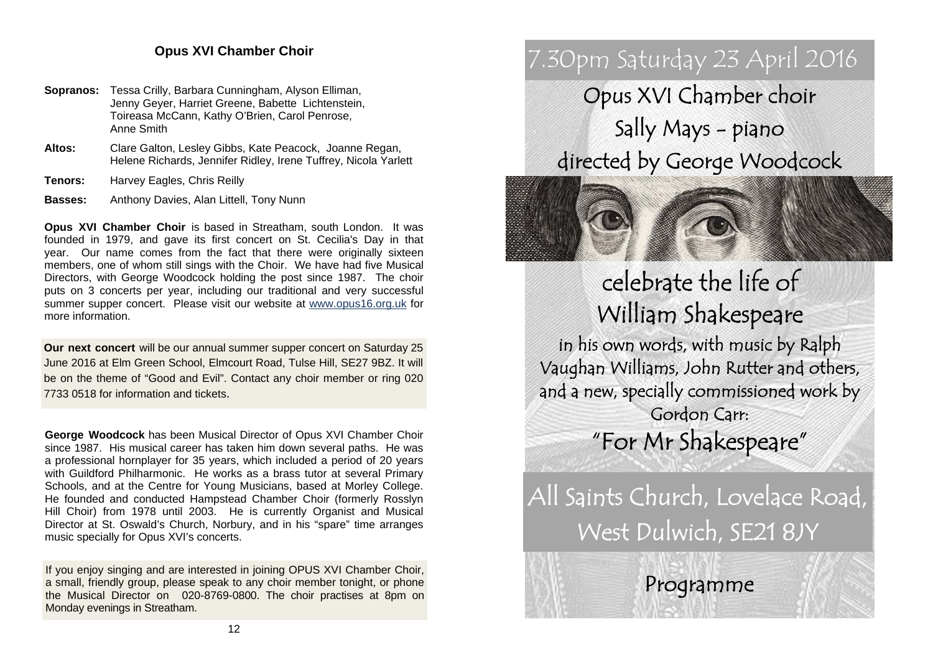## **Opus XVI Chamber Choir**

- **Sopranos:** Tessa Crilly, Barbara Cunningham, Alyson Elliman, Jenny Geyer, Harriet Greene, Babette Lichtenstein, Toireasa McCann, Kathy O'Brien, Carol Penrose, Anne Smith
- **Altos:** Clare Galton, Lesley Gibbs, Kate Peacock, Joanne Regan, Helene Richards, Jennifer Ridley, Irene Tuffrey, Nicola Yarlett
- **Tenors:** Harvey Eagles, Chris Reilly

**Basses:** Anthony Davies, Alan Littell, Tony Nunn

**Opus XVI Chamber Choir** is based in Streatham, south London. It was founded in 1979, and gave its first concert on St. Cecilia's Day in that year. Our name comes from the fact that there were originally sixteen members, one of whom still sings with the Choir. We have had five Musical Directors, with George Woodcock holding the post since 1987. The choir puts on 3 concerts per year, including our traditional and very successful summer supper concert. Please visit our website at www.opus16.org.uk for more information.

**Our next concert** will be our annual summer supper concert on Saturday 25 June 2016 at Elm Green School, Elmcourt Road, Tulse Hill, SE27 9BZ. It will be on the theme of "Good and Evil". Contact any choir member or ring 020 7733 0518 for information and tickets.

**George Woodcock** has been Musical Director of Opus XVI Chamber Choir since 1987. His musical career has taken him down several paths. He was a professional hornplayer for 35 years, which included a period of 20 years with Guildford Philharmonic. He works as a brass tutor at several Primary Schools, and at the Centre for Young Musicians, based at Morley College. He founded and conducted Hampstead Chamber Choir (formerly Rosslyn Hill Choir) from 1978 until 2003. He is currently Organist and Musical Director at St. Oswald's Church, Norbury, and in his "spare" time arranges music specially for Opus XVI's concerts.

If you enjoy singing and are interested in joining OPUS XVI Chamber Choir, a small, friendly group, please speak to any choir member tonight, or phone the Musical Director on 020-8769-0800. The choir practises at 8pm on Monday evenings in Streatham.

# 7.30pm Saturday 23 April 2016

Opus XVI Chamber choir Sally Mays - piano directed by George Woodcock



celebrate the life of William Shakespeare

in his own words, with music by Ralph Vaughan Williams, John Rutter and others, and a new, specially commissioned work by Gordon Carr: "For Mr Shakespeare"

All Saints Church, Lovelace Road, West Dulwich, SE21 8JY

Programme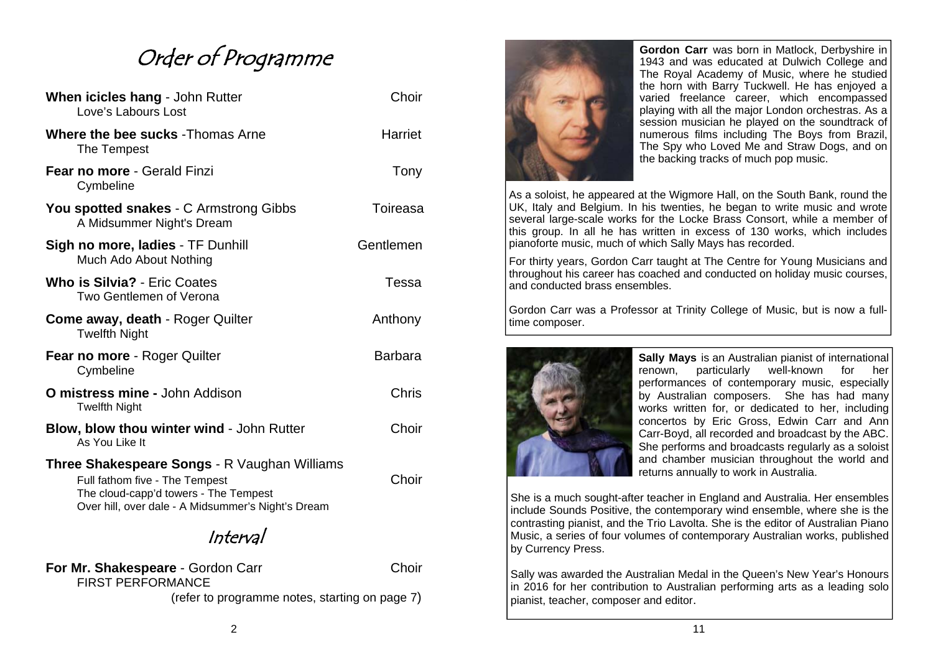# Order of Programme

| When icicles hang - John Rutter<br>Love's Labours Lost                                                                                                                               | Choir          |
|--------------------------------------------------------------------------------------------------------------------------------------------------------------------------------------|----------------|
| <b>Where the bee sucks - Thomas Arne</b><br>The Tempest                                                                                                                              | Harriet        |
| Fear no more - Gerald Finzi<br>Cymbeline                                                                                                                                             | Tony           |
| <b>You spotted snakes - C Armstrong Gibbs</b><br>A Midsummer Night's Dream                                                                                                           | Toireasa       |
| Sigh no more, ladies - TF Dunhill<br>Much Ado About Nothing                                                                                                                          | Gentlemen      |
| <b>Who is Silvia?</b> - Eric Coates<br>Two Gentlemen of Verona                                                                                                                       | Tessa          |
| <b>Come away, death - Roger Quilter</b><br><b>Twelfth Night</b>                                                                                                                      | Anthony        |
| Fear no more - Roger Quilter<br>Cymbeline                                                                                                                                            | <b>Barbara</b> |
| <b>O mistress mine - John Addison</b><br><b>Twelfth Night</b>                                                                                                                        | Chris          |
| <b>Blow, blow thou winter wind - John Rutter</b><br>As You Like It                                                                                                                   | Choir          |
| <b>Three Shakespeare Songs - R Vaughan Williams</b><br>Full fathom five - The Tempest<br>The cloud-capp'd towers - The Tempest<br>Over hill, over dale - A Midsummer's Night's Dream | Choir          |

Interval

**For Mr. Shakespeare** - Gordon Carr **Choir** Choir FIRST PERFORMANCE

(refer to programme notes, starting on page 7)



**Gordon Carr** was born in Matlock, Derbyshire in 1943 and was educated at Dulwich College and The Royal Academy of Music, where he studied the horn with Barry Tuckwell. He has enjoyed a varied freelance career, which encompassed playing with all the major London orchestras. As a session musician he played on the soundtrack of numerous films including The Boys from Brazil, The Spy who Loved Me and Straw Dogs, and on the backing tracks of much pop music.

As a soloist, he appeared at the Wigmore Hall, on the South Bank, round the UK, Italy and Belgium. In his twenties, he began to write music and wrote several large-scale works for the Locke Brass Consort, while a member of this group. In all he has written in excess of 130 works, which includes pianoforte music, much of which Sally Mays has recorded.

For thirty years, Gordon Carr taught at The Centre for Young Musicians and throughout his career has coached and conducted on holiday music courses, and conducted brass ensembles.

Gordon Carr was a Professor at Trinity College of Music, but is now a fulltime composer.



**Sally Mays** is an Australian pianist of international renown, particularly well-known for her performances of contemporary music, especially by Australian composers. She has had many works written for, or dedicated to her, including concertos by Eric Gross, Edwin Carr and Ann Carr-Boyd, all recorded and broadcast by the ABC. She performs and broadcasts regularly as a soloist and chamber musician throughout the world and returns annually to work in Australia.

She is a much sought-after teacher in England and Australia. Her ensembles include Sounds Positive, the contemporary wind ensemble, where she is the contrasting pianist, and the Trio Lavolta. She is the editor of Australian Piano Music, a series of four volumes of contemporary Australian works, published by Currency Press.

Sally was awarded the Australian Medal in the Queen's New Year's Honours in 2016 for her contribution to Australian performing arts as a leading solo pianist, teacher, composer and editor.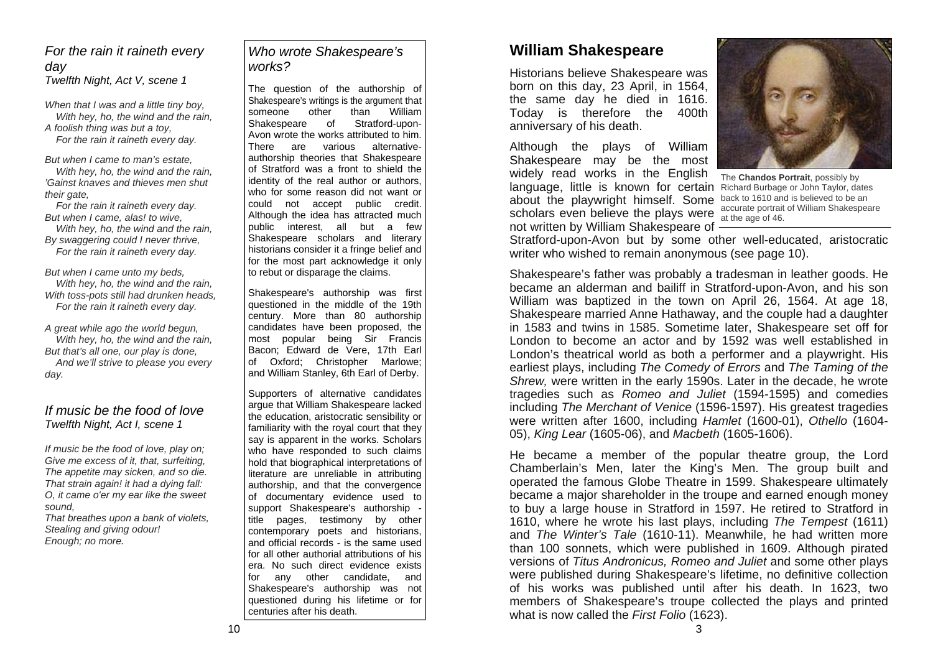#### *For the rain it raineth every day Twelfth Night, Act V, scene 1*

*When that I was and a little tiny boy, With hey, ho, the wind and the rain, A foolish thing was but a toy, For the rain it raineth every day.* 

*But when I came to man's estate, With hey, ho, the wind and the rain, 'Gainst knaves and thieves men shut their gate,* 

 *For the rain it raineth every day. But when I came, alas! to wive, With hey, ho, the wind and the rain, By swaggering could I never thrive, For the rain it raineth every day.* 

*But when I came unto my beds, With hey, ho, the wind and the rain, With toss-pots still had drunken heads, For the rain it raineth every day.* 

*A great while ago the world begun, With hey, ho, the wind and the rain, But that's all one, our play is done, And we'll strive to please you every day.* 

## *If music be the food of love Twelfth Night, Act I, scene 1*

*If music be the food of love, play on; Give me excess of it, that, surfeiting, The appetite may sicken, and so die. That strain again! it had a dying fall: O, it came o'er my ear like the sweet sound, That breathes upon a bank of violets, Stealing and giving odour!* 

*Enough; no more.* 

## *Who wrote Shakespeare's works?*

The question of the authorship of Shakespeare's writings is the argument that someone other than William Shakespeare of Stratford-upon-Avon wrote the works attributed to him. There are various alternativeauthorship theories that Shakespeare of Stratford was a front to shield the identity of the real author or authors, who for some reason did not want or could not accept public credit. Although the idea has attracted much public interest, all but a few Shakespeare scholars and literary historians consider it a fringe belief and for the most part acknowledge it only to rebut or disparage the claims.

Shakespeare's authorship was first questioned in the middle of the 19th century. More than 80 authorship candidates have been proposed, the most popular being Sir Francis Bacon; Edward de Vere, 17th Earl of Oxford; Christopher Marlowe; and William Stanley, 6th Earl of Derby.

Supporters of alternative candidates argue that William Shakespeare lacked the education, aristocratic sensibility or familiarity with the royal court that they say is apparent in the works. Scholars who have responded to such claims hold that biographical interpretations of literature are unreliable in attributing authorship, and that the convergence of documentary evidence used to support Shakespeare's authorship title pages, testimony by other contemporary poets and historians, and official records - is the same used for all other authorial attributions of his era. No such direct evidence exists for any other candidate, and Shakespeare's authorship was not questioned during his lifetime or for centuries after his death.

## **William Shakespeare**

Historians believe Shakespeare was born on this day, 23 April, in 1564, the same day he died in 1616. Today is therefore the 400th anniversary of his death.

Although the plays of William Shakespeare may be the most widely read works in the English language, little is known for certain Richard Burbage or John Taylor, dates about the playwright himself. Some back to 1610 and is believed to be an scholars even believe the plays were  $\frac{1}{\alpha}$  at the age of 46. not written by William Shakespeare of



The **Chandos Portrait**, possibly by accurate portrait of William Shakespeare

Stratford-upon-Avon but by some other well-educated, aristocratic writer who wished to remain anonymous (see page 10).

Shakespeare's father was probably a tradesman in leather goods. He became an alderman and bailiff in Stratford-upon-Avon, and his son William was baptized in the town on April 26, 1564. At age 18, Shakespeare married Anne Hathaway, and the couple had a daughter in 1583 and twins in 1585. Sometime later, Shakespeare set off for London to become an actor and by 1592 was well established in London's theatrical world as both a performer and a playwright. His earliest plays, including *The Comedy of Errors* and *The Taming of the Shrew,* were written in the early 1590s. Later in the decade, he wrote tragedies such as *Romeo and Juliet* (1594-1595) and comedies including *The Merchant of Venice* (1596-1597). His greatest tragedies were written after 1600, including *Hamlet* (1600-01), *Othello* (1604- 05), *King Lear* (1605-06), and *Macbeth* (1605-1606).

He became a member of the popular theatre group, the Lord Chamberlain's Men, later the King's Men. The group built and operated the famous Globe Theatre in 1599. Shakespeare ultimately became a major shareholder in the troupe and earned enough money to buy a large house in Stratford in 1597. He retired to Stratford in 1610, where he wrote his last plays, including *The Tempest* (1611) and *The Winter's Tale* (1610-11). Meanwhile, he had written more than 100 sonnets, which were published in 1609. Although pirated versions of *Titus Andronicus, Romeo and Juliet* and some other plays were published during Shakespeare's lifetime, no definitive collection of his works was published until after his death. In 1623, two members of Shakespeare's troupe collected the plays and printed what is now called the *First Folio* (1623).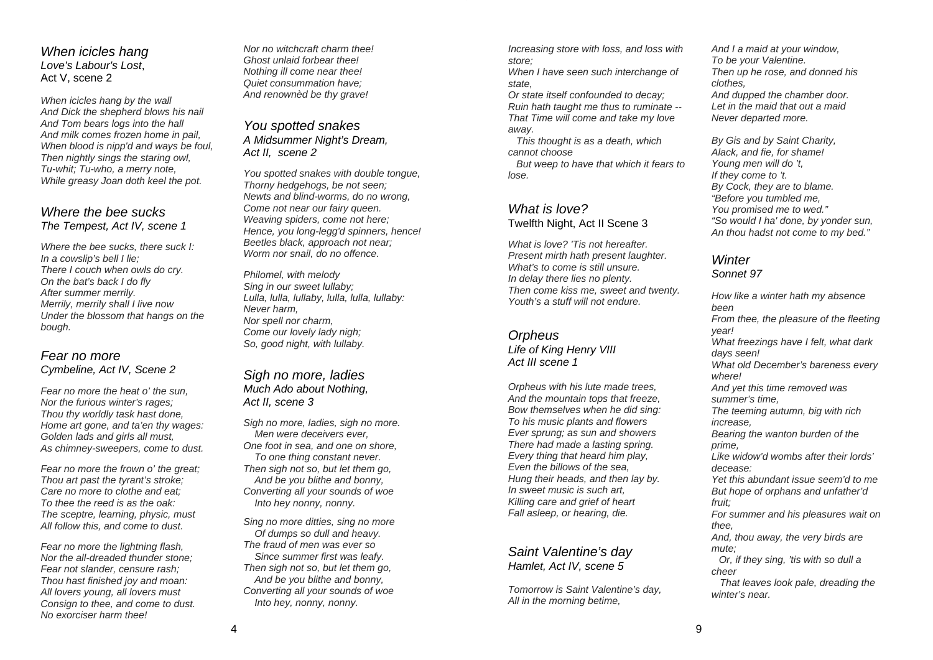*When icicles hang Love's Labour's Lost*, Act V, scene 2

*When icicles hang by the wall And Dick the shepherd blows his nail And Tom bears logs into the hall And milk comes frozen home in pail, When blood is nipp'd and ways be foul, Then nightly sings the staring owl, Tu-whit; Tu-who, a merry note, While greasy Joan doth keel the pot.*

#### *Where the bee sucks The Tempest, Act IV, scene 1*

*Where the bee sucks, there suck I: In a cowslip's bell I lie; There I couch when owls do cry. On the bat's back I do fly After summer merrily. Merrily, merrily shall I live now Under the blossom that hangs on the bough.* 

#### *Fear no more Cymbeline, Act IV, Scene 2*

*Fear no more the heat o' the sun, Nor the furious winter's rages; Thou thy worldly task hast done, Home art gone, and ta'en thy wages: Golden lads and girls all must, As chimney-sweepers, come to dust.* 

*Fear no more the frown o' the great; Thou art past the tyrant's stroke; Care no more to clothe and eat; To thee the reed is as the oak: The sceptre, learning, physic, must All follow this, and come to dust.* 

*Fear no more the lightning flash, Nor the all-dreaded thunder stone; Fear not slander, censure rash; Thou hast finished joy and moan: All lovers young, all lovers must Consign to thee, and come to dust. No exorciser harm thee!* 

*Nor no witchcraft charm thee! Ghost unlaid forbear thee! Nothing ill come near thee! Quiet consummation have; And renownèd be thy grave!* 

*You spotted snakes A Midsummer Night's Dream, Act II, scene 2* 

*You spotted snakes with double tongue, Thorny hedgehogs, be not seen; Newts and blind-worms, do no wrong, Come not near our fairy queen. Weaving spiders, come not here; Hence, you long-legg'd spinners, hence! Beetles black, approach not near; Worm nor snail, do no offence.* 

*Philomel, with melody Sing in our sweet lullaby; Lulla, lulla, lullaby, lulla, lulla, lullaby: Never harm, Nor spell nor charm, Come our lovely lady nigh; So, good night, with lullaby.* 

*Sigh no more, ladies Much Ado about Nothing, Act II, scene 3* 

*Sigh no more, ladies, sigh no more. Men were deceivers ever, One foot in sea, and one on shore, To one thing constant never. Then sigh not so, but let them go, And be you blithe and bonny, Converting all your sounds of woe Into hey nonny, nonny.* 

*Sing no more ditties, sing no more Of dumps so dull and heavy. The fraud of men was ever so Since summer first was leafy. Then sigh not so, but let them go, And be you blithe and bonny, Converting all your sounds of woe Into hey, nonny, nonny.* 

*Increasing store with loss, and loss with store;* 

*When I have seen such interchange of state,* 

*Or state itself confounded to decay; Ruin hath taught me thus to ruminate -- That Time will come and take my love away.* 

 *This thought is as a death, which cannot choose* 

 *But weep to have that which it fears to lose.* 

## *What is love?* Twelfth Night, Act II Scene 3

*What is love? 'Tis not hereafter.Present mirth hath present laughter. What's to come is still unsure. In delay there lies no plenty. Then come kiss me, sweet and twenty. Youth's a stuff will not endure.* 

*Orpheus Life of King Henry VIII Act III scene 1* 

*Orpheus with his lute made trees, And the mountain tops that freeze, Bow themselves when he did sing: To his music plants and flowers Ever sprung; as sun and showers There had made a lasting spring. Every thing that heard him play, Even the billows of the sea, Hung their heads, and then lay by. In sweet music is such art, Killing care and grief of heart Fall asleep, or hearing, die.* 

#### *Saint Valentine's day Hamlet, Act IV, scene 5*

*Tomorrow is Saint Valentine's day, All in the morning betime,* 

*And I a maid at your window, To be your Valentine. Then up he rose, and donned his clothes, And dupped the chamber door. Let in the maid that out a maid Never departed more.* 

*By Gis and by Saint Charity, Alack, and fie, for shame! Young men will do 't, If they come to 't. By Cock, they are to blame. "Before you tumbled me, You promised me to wed." "So would I ha' done, by yonder sun, An thou hadst not come to my bed."* 

## *Winter*

*Sonnet 97* 

*How like a winter hath my absence been From thee, the pleasure of the fleeting year! What freezings have I felt, what dark days seen! What old December's bareness every where! And yet this time removed was summer's time, The teeming autumn, big with rich increase, Bearing the wanton burden of the prime, Like widow'd wombs after their lords' decease: Yet this abundant issue seem'd to me But hope of orphans and unfather'd fruit; For summer and his pleasures wait on thee, And, thou away, the very birds are mute; Or, if they sing, 'tis with so dull a cheer That leaves look pale, dreading the winter's near.*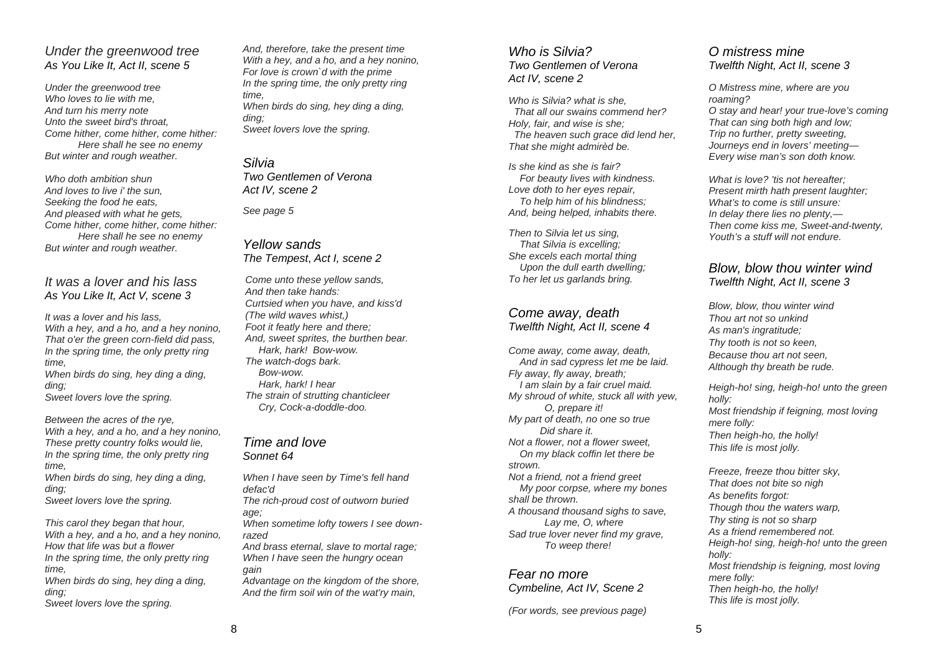#### *Under the greenwood tree As You Like It, Act II, scene 5*

*Under the greenwood tree Who loves to lie with me, And turn his merry note Unto the sweet bird's throat, Come hither, come hither, come hither: Here shall he see no enemy But winter and rough weather.* 

*Who doth ambition shun And loves to live i' the sun, Seeking the food he eats, And pleased with what he gets, Come hither, come hither, come hither: Here shall he see no enemy But winter and rough weather.* 

#### *It was a lover and his lass As You Like It, Act V, scene 3*

*It was a lover and his lass, With a hey, and a ho, and a hey nonino, That o'er the green corn-field did pass, In the spring time, the only pretty ring time, When birds do sing, hey ding a ding, ding; Sweet lovers love the spring.* 

*Between the acres of the rye, With a hey, and a ho, and a hey nonino, These pretty country folks would lie, In the spring time, the only pretty ring time, When birds do sing, hey ding a ding,* 

*ding;* 

*Sweet lovers love the spring.* 

*This carol they began that hour, With a hey, and a ho, and a hey nonino, How that life was but a flower In the spring time, the only pretty ring time, When birds do sing, hey ding a ding, ding; Sweet lovers love the spring.* 

*And, therefore, take the present time With a hey, and a ho, and a hey nonino, For love is crown`d with the prime In the spring time, the only pretty ring time, When birds do sing, hey ding a ding, ding; Sweet lovers love the spring.* 

#### *Silvia*

*Two Gentlemen of Verona Act IV, scene 2* 

*See page 5* 

#### *Yellow sands The Tempest*, *Act I, scene 2*

*Come unto these yellow sands, And then take hands:Curtsied when you have, and kiss'd (The wild waves whist,) Foot it featly here and there; And, sweet sprites, the burthen bear. Hark, hark! Bow-wow. The watch-dogs bark. Bow-wow. Hark, hark! I hear The strain of strutting chanticleer Cry, Cock-a-doddle-doo.* 

#### *Time and love Sonnet 64*

*When I have seen by Time's fell hand defac'd The rich-proud cost of outworn buried age; When sometime lofty towers I see downrazed And brass eternal, slave to mortal rage; When I have seen the hungry ocean gain Advantage on the kingdom of the shore, And the firm soil win of the wat'ry main,* 

#### *Who is Silvia? Two Gentlemen of Verona Act IV, scene 2*

*Who is Silvia? what is she, That all our swains commend her? Holy, fair, and wise is she; The heaven such grace did lend her, That she might admirèd be.* 

*Is she kind as she is fair? For beauty lives with kindness. Love doth to her eyes repair, To help him of his blindness; And, being helped, inhabits there.* 

*Then to Silvia let us sing, That Silvia is excelling; She excels each mortal thing Upon the dull earth dwelling; To her let us garlands bring.* 

#### *Come away, death Twelfth Night, Act II, scene 4*

*Come away, come away, death, And in sad cypress let me be laid. Fly away, fly away, breath; I am slain by a fair cruel maid. My shroud of white, stuck all with yew, O, prepare it! My part of death, no one so true Did share it. Not a flower, not a flower sweet, On my black coffin let there be strown. Not a friend, not a friend greet My poor corpse, where my bones shall be thrown. A thousand thousand sighs to save, Lay me, O, where Sad true lover never find my grave, To weep there!* 

#### *Fear no more Cymbeline, Act IV, Scene 2*

*(For words, see previous page)* 

### *O mistress mine Twelfth Night, Act II, scene 3*

*O Mistress mine, where are you roaming? O stay and hear! your true-love's coming That can sing both high and low; Trip no further, pretty sweeting, Journeys end in lovers' meeting— Every wise man's son doth know.* 

*What is love? 'tis not hereafter; Present mirth hath present laughter; What's to come is still unsure: In delay there lies no plenty,— Then come kiss me, Sweet-and-twenty, Youth's a stuff will not endure.* 

#### *Blow, blow thou winter wind Twelfth Night, Act II, scene 3*

*Blow, blow, thou winter wind Thou art not so unkindAs man's ingratitude; Thy tooth is not so keen, Because thou art not seen, Although thy breath be rude.*

*Heigh-ho! sing, heigh-ho! unto the green holly: Most friendship if feigning, most loving mere folly: Then heigh-ho, the holly! This life is most jolly.*

*Freeze, freeze thou bitter sky, That does not bite so nigh As benefits forgot: Though thou the waters warp, Thy sting is not so sharp As a friend remembered not. Heigh-ho! sing, heigh-ho! unto the green holly: Most friendship is feigning, most loving mere folly: Then heigh-ho, the holly! This life is most jolly.*